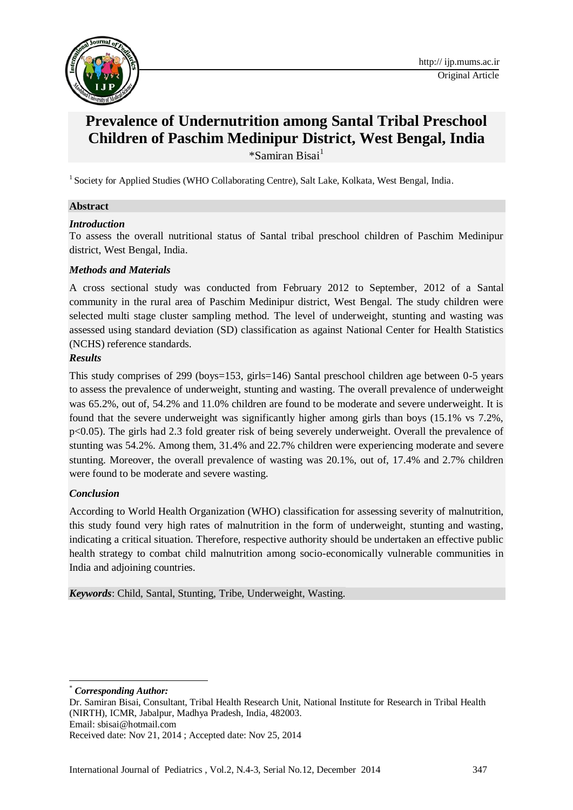

# **Prevalence of Undernutrition among Santal Tribal Preschool Children of Paschim Medinipur District, West Bengal, India** \*Samiran Bisai<sup>1</sup>

<sup>1</sup> Society for Applied Studies (WHO Collaborating Centre), Salt Lake, Kolkata, West Bengal, India.

### **Abstract**

### *Introduction*

To assess the overall nutritional status of Santal tribal preschool children of Paschim Medinipur district, West Bengal, India.

### *Methods and Materials*

A cross sectional study was conducted from February 2012 to September, 2012 of a Santal community in the rural area of Paschim Medinipur district, West Bengal. The study children were selected multi stage cluster sampling method. The level of underweight, stunting and wasting was assessed using standard deviation (SD) classification as against National Center for Health Statistics (NCHS) reference standards.

### *Results*

This study comprises of 299 (boys=153, girls=146) Santal preschool children age between 0-5 years to assess the prevalence of underweight, stunting and wasting. The overall prevalence of underweight was 65.2%, out of, 54.2% and 11.0% children are found to be moderate and severe underweight. It is found that the severe underweight was significantly higher among girls than boys (15.1% vs 7.2%, p<0.05). The girls had 2.3 fold greater risk of being severely underweight. Overall the prevalence of stunting was 54.2%. Among them, 31.4% and 22.7% children were experiencing moderate and severe stunting. Moreover, the overall prevalence of wasting was 20.1%, out of, 17.4% and 2.7% children were found to be moderate and severe wasting.

# *Conclusion*

According to World Health Organization (WHO) classification for assessing severity of malnutrition, this study found very high rates of malnutrition in the form of underweight, stunting and wasting, indicating a critical situation. Therefore, respective authority should be undertaken an effective public health strategy to combat child malnutrition among socio-economically vulnerable communities in India and adjoining countries.

*Keywords*: Child, Santal, Stunting, Tribe, Underweight, Wasting.

-

Email: [sbisai@hotmail.com](mailto:sbisai@hotmail.com)

 $Corresponding Author:$ 

Dr. Samiran Bisai, Consultant, Tribal Health Research Unit, National Institute for Research in Tribal Health (NIRTH), ICMR, Jabalpur, Madhya Pradesh, India, 482003.

Received date: Nov 21, 2014 ; Accepted date: Nov 25, 2014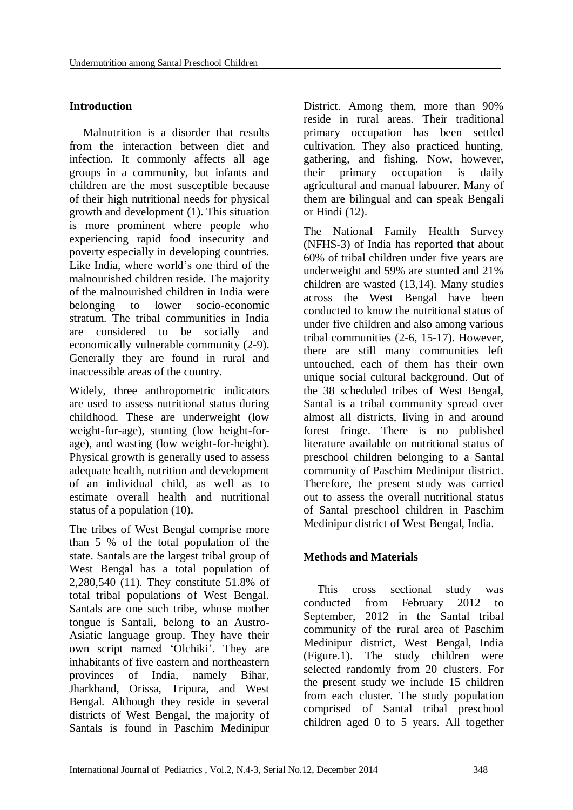# **Introduction**

Malnutrition is a disorder that results from the interaction between diet and infection. It commonly affects all age groups in a community, but infants and children are the most susceptible because of their high nutritional needs for physical growth and development (1). This situation is more prominent where people who experiencing rapid food insecurity and poverty especially in developing countries. Like India, where world's one third of the malnourished children reside. The majority of the malnourished children in India were belonging to lower socio-economic stratum. The tribal communities in India are considered to be socially and economically vulnerable community (2-9). Generally they are found in rural and inaccessible areas of the country.

Widely, three anthropometric indicators are used to assess nutritional status during childhood. These are underweight (low weight-for-age), stunting (low height-forage), and wasting (low weight-for-height). Physical growth is generally used to assess adequate health, nutrition and development of an individual child, as well as to estimate overall health and nutritional status of a population (10).

The tribes of West Bengal comprise more than 5 % of the total population of the state. Santals are the largest tribal group of West Bengal has a total population of 2,280,540 (11). They constitute 51.8% of total tribal populations of West Bengal. Santals are one such tribe, whose mother tongue is Santali, belong to an Austro-Asiatic language group. They have their own script named 'Olchiki'. They are inhabitants of five eastern and northeastern provinces of India, namely Bihar, Jharkhand, Orissa, Tripura, and West Bengal. Although they reside in several districts of West Bengal, the majority of Santals is found in Paschim Medinipur

District. Among them, more than 90% reside in rural areas. Their traditional primary occupation has been settled cultivation. They also practiced hunting, gathering, and fishing. Now, however, their primary occupation is daily agricultural and manual labourer. Many of them are bilingual and can speak Bengali or Hindi (12).

The National Family Health Survey (NFHS-3) of India has reported that about 60% of tribal children under five years are underweight and 59% are stunted and 21% children are wasted (13,14). Many studies across the West Bengal have been conducted to know the nutritional status of under five children and also among various tribal communities (2-6, 15-17). However, there are still many communities left untouched, each of them has their own unique social cultural background. Out of the 38 scheduled tribes of West Bengal, Santal is a tribal community spread over almost all districts, living in and around forest fringe. There is no published literature available on nutritional status of preschool children belonging to a Santal community of Paschim Medinipur district. Therefore, the present study was carried out to assess the overall nutritional status of Santal preschool children in Paschim Medinipur district of West Bengal, India.

# **Methods and Materials**

This cross sectional study was conducted from February 2012 to September, 2012 in the Santal tribal community of the rural area of Paschim Medinipur district, West Bengal, India (Figure.1). The study children were selected randomly from 20 clusters. For the present study we include 15 children from each cluster. The study population comprised of Santal tribal preschool children aged 0 to 5 years. All together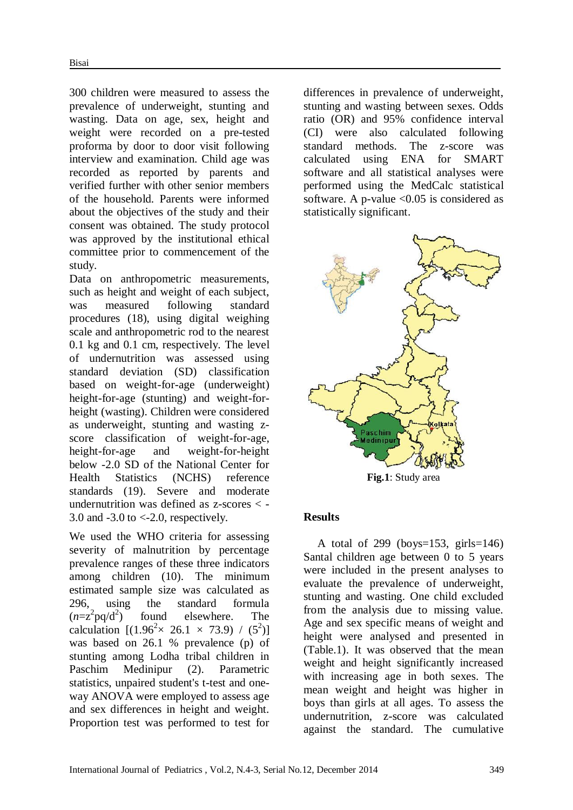300 children were measured to assess the prevalence of underweight, stunting and wasting. Data on age, sex, height and weight were recorded on a pre-tested proforma by door to door visit following interview and examination. Child age was recorded as reported by parents and verified further with other senior members of the household. Parents were informed about the objectives of the study and their consent was obtained. The study protocol was approved by the institutional ethical committee prior to commencement of the study.

Data on anthropometric measurements, such as height and weight of each subject, was measured following standard procedures (18), using digital weighing scale and anthropometric rod to the nearest 0.1 kg and 0.1 cm, respectively. The level of undernutrition was assessed using standard deviation (SD) classification based on weight-for-age (underweight) height-for-age (stunting) and weight-forheight (wasting). Children were considered as underweight, stunting and wasting zscore classification of weight-for-age, height-for-age and weight-for-height below -2.0 SD of the National Center for Health Statistics (NCHS) reference standards (19). Severe and moderate undernutrition was defined as z-scores < - 3.0 and  $-3.0$  to  $<-2.0$ , respectively.

We used the WHO criteria for assessing severity of malnutrition by percentage prevalence ranges of these three indicators among children (10). The minimum estimated sample size was calculated as 296, using the standard formula  $(n=z^2 pq/d^2)$ ) found elsewhere. The calculation  $[(1.96^2 \times 26.1 \times 73.9) / (5^2)]$ was based on 26.1 % prevalence (p) of stunting among Lodha tribal children in Paschim Medinipur (2). Parametric statistics, unpaired student's t-test and oneway ANOVA were employed to assess age and sex differences in height and weight. Proportion test was performed to test for

differences in prevalence of underweight, stunting and wasting between sexes. Odds ratio (OR) and 95% confidence interval (CI) were also calculated following standard methods. The z-score was calculated using ENA for SMART software and all statistical analyses were performed using the MedCalc statistical software. A p-value < 0.05 is considered as statistically significant.



# **Results**

A total of 299 (boys= $153$ , girls= $146$ ) Santal children age between 0 to 5 years were included in the present analyses to evaluate the prevalence of underweight, stunting and wasting. One child excluded from the analysis due to missing value. Age and sex specific means of weight and height were analysed and presented in (Table.1). It was observed that the mean weight and height significantly increased with increasing age in both sexes. The mean weight and height was higher in boys than girls at all ages. To assess the undernutrition, z-score was calculated against the standard. The cumulative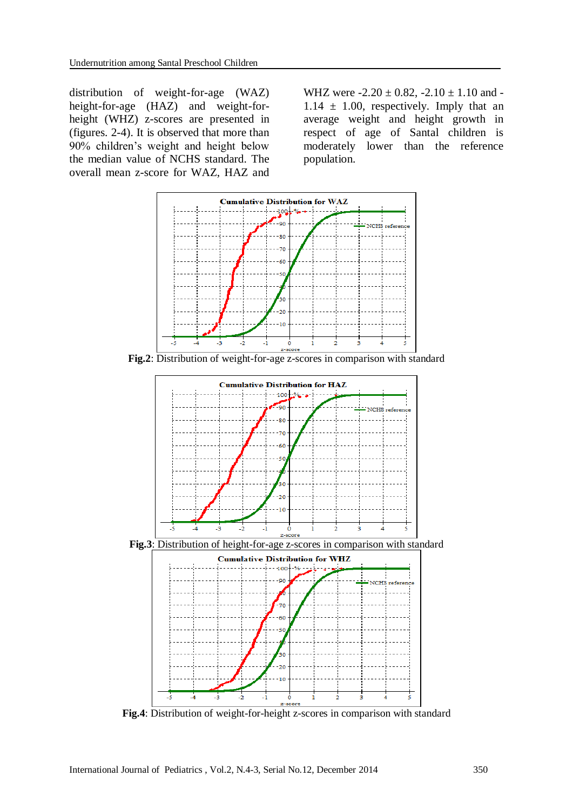distribution of weight-for-age (WAZ) height-for-age (HAZ) and weight-forheight (WHZ) z-scores are presented in (figures. 2-4). It is observed that more than 90% children's weight and height below the median value of NCHS standard. The overall mean z-score for WAZ, HAZ and

WHZ were  $-2.20 \pm 0.82$ ,  $-2.10 \pm 1.10$  and  $1.14 \pm 1.00$ , respectively. Imply that an average weight and height growth in respect of age of Santal children is moderately lower than the reference population.



**Fig.2**: Distribution of weight-for-age z-scores in comparison with standard



**Fig.4**: Distribution of weight-for-height z-scores in comparison with standard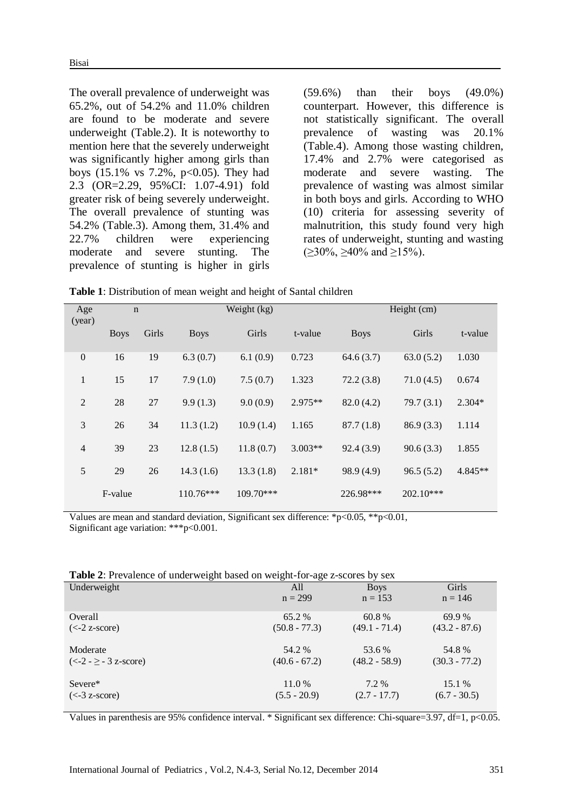The overall prevalence of underweight was 65.2%, out of 54.2% and 11.0% children are found to be moderate and severe underweight (Table.2). It is noteworthy to mention here that the severely underweight was significantly higher among girls than boys  $(15.1\% \text{ vs } 7.2\% \text{, } p<0.05)$ . They had 2.3 (OR=2.29, 95%CI: 1.07-4.91) fold greater risk of being severely underweight. The overall prevalence of stunting was 54.2% (Table.3). Among them, 31.4% and 22.7% children were experiencing moderate and severe stunting. The prevalence of stunting is higher in girls

(59.6%) than their boys (49.0%) counterpart. However, this difference is not statistically significant. The overall prevalence of wasting was 20.1% (Table.4). Among those wasting children, 17.4% and 2.7% were categorised as moderate and severe wasting. The prevalence of wasting was almost similar in both boys and girls. According to WHO (10) criteria for assessing severity of malnutrition, this study found very high rates of underweight, stunting and wasting  $(>30\%, >40\%$  and  $>15\%$ ).

**Table 1**: Distribution of mean weight and height of Santal children

| Age<br>(year)    | $\mathbf n$ |       | Weight (kg) |             | Height (cm) |             |             |           |
|------------------|-------------|-------|-------------|-------------|-------------|-------------|-------------|-----------|
|                  | <b>Boys</b> | Girls | <b>Boys</b> | Girls       | t-value     | <b>Boys</b> | Girls       | t-value   |
| $\boldsymbol{0}$ | 16          | 19    | 6.3(0.7)    | 6.1(0.9)    | 0.723       | 64.6(3.7)   | 63.0(5.2)   | 1.030     |
| $\mathbf{1}$     | 15          | 17    | 7.9(1.0)    | 7.5(0.7)    | 1.323       | 72.2(3.8)   | 71.0(4.5)   | 0.674     |
| $\overline{2}$   | 28          | 27    | 9.9(1.3)    | 9.0(0.9)    | $2.975**$   | 82.0(4.2)   | 79.7(3.1)   | $2.304*$  |
| 3                | 26          | 34    | 11.3(1.2)   | 10.9(1.4)   | 1.165       | 87.7(1.8)   | 86.9(3.3)   | 1.114     |
| $\overline{4}$   | 39          | 23    | 12.8(1.5)   | 11.8(0.7)   | $3.003**$   | 92.4(3.9)   | 90.6(3.3)   | 1.855     |
| 5                | 29          | 26    | 14.3(1.6)   | 13.3(1.8)   | $2.181*$    | 98.9 (4.9)  | 96.5(5.2)   | $4.845**$ |
|                  | F-value     |       | $110.76***$ | $109.70***$ |             | 226.98***   | $202.10***$ |           |

Values are mean and standard deviation, Significant sex difference: \*p<0.05, \*\*p<0.01, Significant age variation: \*\*\*p<0.001.

| Table 2: Prevalence of underweight based on weight-for-age z-scores by sex |  |
|----------------------------------------------------------------------------|--|
|                                                                            |  |

|                          | $\check{ }$     |                 |                 |
|--------------------------|-----------------|-----------------|-----------------|
| Underweight              | All             | <b>Boys</b>     | Girls           |
|                          | $n = 299$       | $n = 153$       | $n = 146$       |
| Overall                  | 65.2 %          | 60.8%           | 69.9 %          |
| $(<-2 z-score)$          | $(50.8 - 77.3)$ | $(49.1 - 71.4)$ | $(43.2 - 87.6)$ |
| Moderate                 | 54.2 %          | 53.6 %          | 54.8%           |
| $(<-2 - \ge -3$ z-score) | $(40.6 - 67.2)$ | $(48.2 - 58.9)$ | $(30.3 - 77.2)$ |
| Severe*                  | 11.0 %          | 7.2 %           | 15.1 %          |
| $(< -3 z-score)$         | $(5.5 - 20.9)$  | $(2.7 - 17.7)$  | $(6.7 - 30.5)$  |
|                          |                 |                 |                 |

Values in parenthesis are 95% confidence interval. \* Significant sex difference: Chi-square=3.97, df=1,  $p<0.05$ .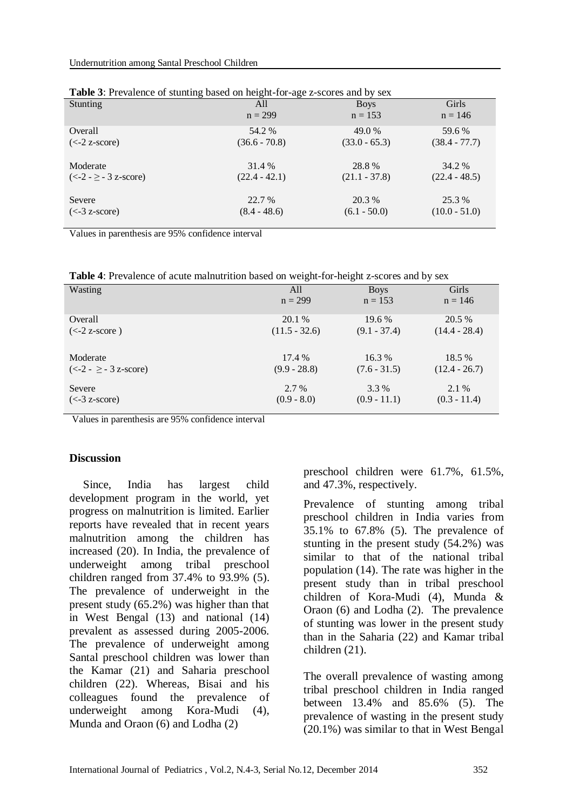| $\frac{1}{2}$<br>$\frac{1}{2}$ |                 |                 |                 |  |
|--------------------------------|-----------------|-----------------|-----------------|--|
| <b>Stunting</b>                | All             | <b>Boys</b>     | <b>Girls</b>    |  |
|                                | $n = 299$       | $n = 153$       | $n = 146$       |  |
| Overall                        | 54.2 %          | 49.0 %          | 59.6 %          |  |
| $(<-2 z-score)$                | $(36.6 - 70.8)$ | $(33.0 - 65.3)$ | $(38.4 - 77.7)$ |  |
| Moderate                       | 31.4 %          | 28.8%           | 34.2 %          |  |
| $(<-2 - \ge -3$ z-score)       | $(22.4 - 42.1)$ | $(21.1 - 37.8)$ | $(22.4 - 48.5)$ |  |
| Severe                         | 22.7 %          | 20.3 %          | 25.3 %          |  |
| $(< -3 z-score)$               | $(8.4 - 48.6)$  | $(6.1 - 50.0)$  | $(10.0 - 51.0)$ |  |

| Table 3: Prevalence of stunting based on height-for-age z-scores and by sex |  |  |
|-----------------------------------------------------------------------------|--|--|
|                                                                             |  |  |

Values in parenthesis are 95% confidence interval

**Table 4**: Prevalence of acute malnutrition based on weight-for-height z-scores and by sex

| <b>Wasting</b>                                 | All             | <b>Boys</b>    | Girls           |
|------------------------------------------------|-----------------|----------------|-----------------|
|                                                | $n = 299$       | $n = 153$      | $n = 146$       |
| Overall                                        | 20.1 %          | $19.6\%$       | 20.5 %          |
| $\left(\leq -2\right)$ z-score $\left(\right)$ | $(11.5 - 32.6)$ | $(9.1 - 37.4)$ | $(14.4 - 28.4)$ |
| Moderate                                       | 17.4 %          | $16.3\%$       | 18.5 %          |
| $(<-2 - \ge -3$ z-score)                       | $(9.9 - 28.8)$  | $(7.6 - 31.5)$ | $(12.4 - 26.7)$ |
| Severe                                         | 2.7 %           | 3.3 %          | 2.1 %           |
| $(< -3 z-score)$                               | $(0.9 - 8.0)$   | $(0.9 - 11.1)$ | $(0.3 - 11.4)$  |

Values in parenthesis are 95% confidence interval

#### **Discussion**

Since, India has largest child development program in the world, yet progress on malnutrition is limited. Earlier reports have revealed that in recent years malnutrition among the children has increased (20). In India, the prevalence of underweight among tribal preschool children ranged from 37.4% to 93.9% (5). The prevalence of underweight in the present study (65.2%) was higher than that in West Bengal (13) and national (14) prevalent as assessed during 2005-2006. The prevalence of underweight among Santal preschool children was lower than the Kamar (21) and Saharia preschool children (22). Whereas, Bisai and his colleagues found the prevalence of underweight among Kora-Mudi (4), Munda and Oraon (6) and Lodha (2)

preschool children were 61.7%, 61.5%, and 47.3%, respectively.

Prevalence of stunting among tribal preschool children in India varies from 35.1% to 67.8% (5). The prevalence of stunting in the present study (54.2%) was similar to that of the national tribal population (14). The rate was higher in the present study than in tribal preschool children of Kora-Mudi (4), Munda & Oraon (6) and Lodha (2). The prevalence of stunting was lower in the present study than in the Saharia (22) and Kamar tribal children (21).

The overall prevalence of wasting among tribal preschool children in India ranged between 13.4% and 85.6% (5). The prevalence of wasting in the present study (20.1%) was similar to that in West Bengal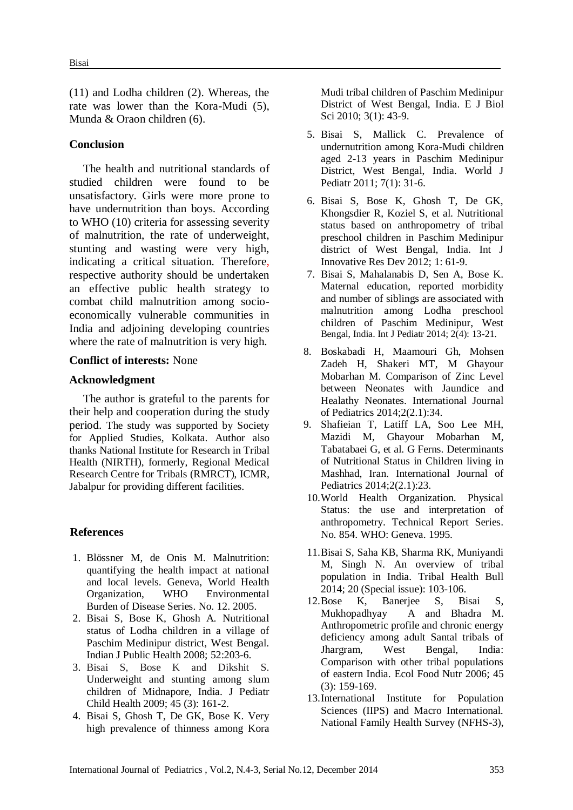(11) and Lodha children (2). Whereas, the rate was lower than the Kora-Mudi (5), Munda & Oraon children (6).

### **Conclusion**

The health and nutritional standards of studied children were found to be unsatisfactory. Girls were more prone to have undernutrition than boys. According to WHO (10) criteria for assessing severity of malnutrition, the rate of underweight, stunting and wasting were very high, indicating a critical situation. Therefore, respective authority should be undertaken an effective public health strategy to combat child malnutrition among socioeconomically vulnerable communities in India and adjoining developing countries where the rate of malnutrition is very high.

#### **Conflict of interests:** None

#### **Acknowledgment**

The author is grateful to the parents for their help and cooperation during the study period. The study was supported by Society for Applied Studies, Kolkata. Author also thanks National Institute for Research in Tribal Health (NIRTH), formerly, Regional Medical Research Centre for Tribals (RMRCT), ICMR, Jabalpur for providing different facilities.

#### **References**

- 1. Blössner M, de Onis M. Malnutrition: quantifying the health impact at national and local levels. Geneva, World Health Organization, WHO Environmental Burden of Disease Series. No. 12. 2005.
- 2. Bisai S, Bose K, Ghosh A. Nutritional status of Lodha children in a village of Paschim Medinipur district, West Bengal. Indian J Public Health 2008; 52:203-6.
- 3. Bisai S, Bose K and Dikshit S. Underweight and stunting among slum children of Midnapore, India. J Pediatr Child Health 2009; 45 (3): 161-2.
- 4. Bisai S, Ghosh T, De GK, Bose K. Very high prevalence of thinness among Kora

Mudi tribal children of Paschim Medinipur District of West Bengal, India. E J Biol Sci 2010; 3(1): 43-9.

- 5. Bisai S, Mallick C. Prevalence of undernutrition among Kora-Mudi children aged 2-13 years in Paschim Medinipur District, West Bengal, India. World J Pediatr 2011; 7(1): 31-6.
- 6. Bisai S, Bose K, Ghosh T, De GK, Khongsdier R, Koziel S, et al. Nutritional status based on anthropometry of tribal preschool children in Paschim Medinipur district of West Bengal, India. Int J Innovative Res Dev 2012; 1: 61-9.
- 7. Bisai S, Mahalanabis D, Sen A, Bose K. Maternal education, reported morbidity and number of siblings are associated with malnutrition among Lodha preschool children of Paschim Medinipur, West Bengal, India. Int J Pediatr 2014; 2(4): 13-21.
- 8. Boskabadi H, Maamouri Gh, Mohsen Zadeh H, Shakeri MT, M Ghayour Mobarhan M. Comparison of Zinc Level between Neonates with Jaundice and Healathy Neonates. International Journal of Pediatrics 2014;2(2.1):34.
- 9. Shafieian T, Latiff LA, Soo Lee MH, Mazidi M, Ghayour Mobarhan M, Tabatabaei G, et al. G Ferns. Determinants of Nutritional Status in Children living in Mashhad, Iran. International Journal of Pediatrics 2014;2(2.1):23.
- 10.World Health Organization. Physical Status: the use and interpretation of anthropometry. Technical Report Series. No. 854. WHO: Geneva. 1995.
- 11.Bisai S, Saha KB, Sharma RK, Muniyandi M, Singh N. An overview of tribal population in India. Tribal Health Bull 2014; 20 (Special issue): 103-106.
- 12.Bose K, Banerjee S, Bisai S, Mukhopadhyay A and Bhadra M. Anthropometric profile and chronic energy deficiency among adult Santal tribals of Jhargram, West Bengal, India: Comparison with other tribal populations of eastern India. Ecol Food Nutr 2006; 45 (3): 159-169.
- 13.International Institute for Population Sciences (IIPS) and Macro International. National Family Health Survey (NFHS-3),